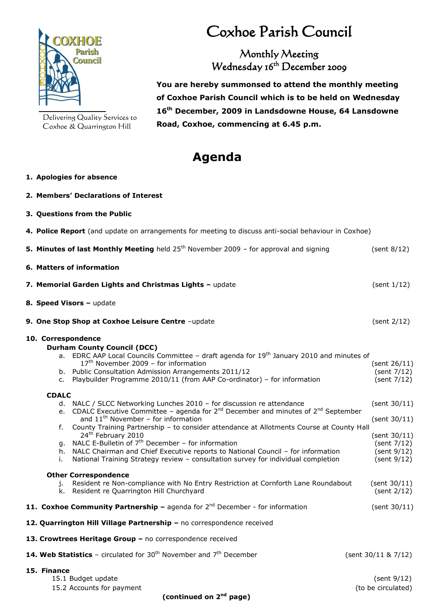

Delivering Quality Services to Coxhoe & Quarrington Hill

# Coxhoe Parish Council

Monthly Meeting Wednesday 16<sup>th</sup> December 2009

 **You are hereby summonsed to attend the monthly meeting of Coxhoe Parish Council which is to be held on Wednesday 16th December, 2009 in Landsdowne House, 64 Lansdowne Road, Coxhoe, commencing at 6.45 p.m.**

## **Agenda**

### **1. Apologies for absence**

- **2. Members' Declarations of Interest**
- **3. Questions from the Public**
- **4. Police Report** (and update on arrangements for meeting to discuss anti-social behaviour in Coxhoe)

|                    | <b>5. Minutes of last Monthly Meeting</b> held $25th$ November 2009 – for approval and signing                                                                                                                                                                                                                                                                  | (sent $8/12$ )                                                  |
|--------------------|-----------------------------------------------------------------------------------------------------------------------------------------------------------------------------------------------------------------------------------------------------------------------------------------------------------------------------------------------------------------|-----------------------------------------------------------------|
|                    | 6. Matters of information                                                                                                                                                                                                                                                                                                                                       |                                                                 |
|                    | 7. Memorial Garden Lights and Christmas Lights - update                                                                                                                                                                                                                                                                                                         | (sent $1/12$ )                                                  |
|                    | 8. Speed Visors - update                                                                                                                                                                                                                                                                                                                                        |                                                                 |
|                    | 9. One Stop Shop at Coxhoe Leisure Centre -update                                                                                                                                                                                                                                                                                                               | (sent 2/12)                                                     |
| 10. Correspondence |                                                                                                                                                                                                                                                                                                                                                                 |                                                                 |
| C.                 | <b>Durham County Council (DCC)</b><br>a. EDRC AAP Local Councils Committee - draft agenda for 19 <sup>th</sup> January 2010 and minutes of<br>$17th$ November 2009 - for information<br>b. Public Consultation Admission Arrangements 2011/12<br>Playbuilder Programme 2010/11 (from AAP Co-ordinator) - for information                                        | (sent $26/11$ )<br>(sent 7/12)<br>(sent 7/12)                   |
| <b>CDALC</b>       |                                                                                                                                                                                                                                                                                                                                                                 |                                                                 |
|                    | d. NALC / SLCC Networking Lunches 2010 - for discussion re attendance<br>e. CDALC Executive Committee - agenda for $2^{nd}$ December and minutes of $2^{nd}$ September<br>and $11th$ November – for information                                                                                                                                                 | (sent $30/11$ )<br>(sent 30/11)                                 |
| f.<br>i.           | County Training Partnership - to consider attendance at Allotments Course at County Hall<br>24 <sup>th</sup> February 2010<br>q. NALC E-Bulletin of $7th$ December – for information<br>h. NALC Chairman and Chief Executive reports to National Council - for information<br>National Training Strategy review - consultation survey for individual completion | (sent $30/11$ )<br>(sent 7/12)<br>(sent $9/12$ )<br>(sent 9/12) |
|                    | <b>Other Correspondence</b>                                                                                                                                                                                                                                                                                                                                     |                                                                 |
| i.                 | Resident re Non-compliance with No Entry Restriction at Cornforth Lane Roundabout<br>k. Resident re Quarrington Hill Churchyard                                                                                                                                                                                                                                 | (sent 30/11)<br>(sent 2/12)                                     |
|                    | 11. Coxhoe Community Partnership - agenda for 2 <sup>nd</sup> December - for information                                                                                                                                                                                                                                                                        | (sent $30/11$ )                                                 |
|                    | 12. Quarrington Hill Village Partnership - no correspondence received                                                                                                                                                                                                                                                                                           |                                                                 |
|                    | 13. Crowtrees Heritage Group - no correspondence received                                                                                                                                                                                                                                                                                                       |                                                                 |
|                    | <b>14. Web Statistics</b> - circulated for 30 <sup>th</sup> November and $7th$ December                                                                                                                                                                                                                                                                         | (sent 30/11 & 7/12)                                             |
| 15. Finance        | 15.1 Budget update<br>15.2 Accounts for payment                                                                                                                                                                                                                                                                                                                 | (sent 9/12)<br>(to be circulated)                               |